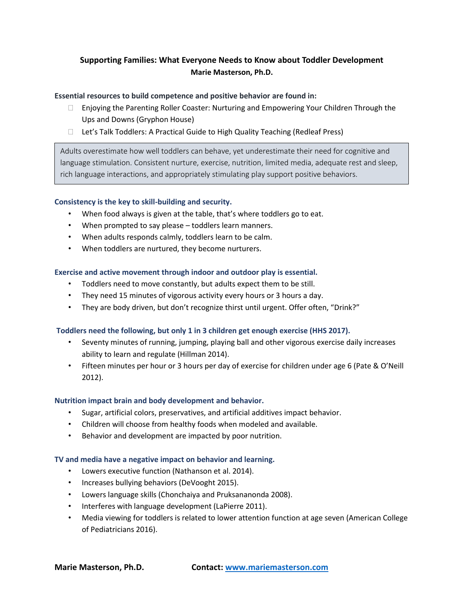# **Supporting Families: What Everyone Needs to Know about Toddler Development Marie Masterson, Ph.D.**

### **Essential resources to build competence and positive behavior are found in:**

- $\Box$  Enjoying the Parenting Roller Coaster: Nurturing and Empowering Your Children Through the Ups and Downs (Gryphon House)
- $\Box$  Let's Talk Toddlers: A Practical Guide to High Quality Teaching (Redleaf Press)

Adults overestimate how well toddlers can behave, yet underestimate their need for cognitive and language stimulation. Consistent nurture, exercise, nutrition, limited media, adequate rest and sleep, rich language interactions, and appropriately stimulating play support positive behaviors.

## **Consistency is the key to skill-building and security.**

- When food always is given at the table, that's where toddlers go to eat.
- When prompted to say please toddlers learn manners.
- When adults responds calmly, toddlers learn to be calm.
- When toddlers are nurtured, they become nurturers.

### **Exercise and active movement through indoor and outdoor play is essential.**

- Toddlers need to move constantly, but adults expect them to be still.
- They need 15 minutes of vigorous activity every hours or 3 hours a day.
- They are body driven, but don't recognize thirst until urgent. Offer often, "Drink?"

### **Toddlers need the following, but only 1 in 3 children get enough exercise (HHS 2017).**

- Seventy minutes of running, jumping, playing ball and other vigorous exercise daily increases ability to learn and regulate (Hillman 2014).
- Fifteen minutes per hour or 3 hours per day of exercise for children under age 6 (Pate & O'Neill 2012).

### **Nutrition impact brain and body development and behavior.**

- Sugar, artificial colors, preservatives, and artificial additives impact behavior.
- Children will choose from healthy foods when modeled and available.
- Behavior and development are impacted by poor nutrition.

### **TV and media have a negative impact on behavior and learning.**

- Lowers executive function (Nathanson et al. 2014).
- Increases bullying behaviors (DeVooght 2015).
- Lowers language skills (Chonchaiya and Pruksananonda 2008).
- Interferes with language development (LaPierre 2011).
- Media viewing for toddlers is related to lower attention function at age seven (American College of Pediatricians 2016).